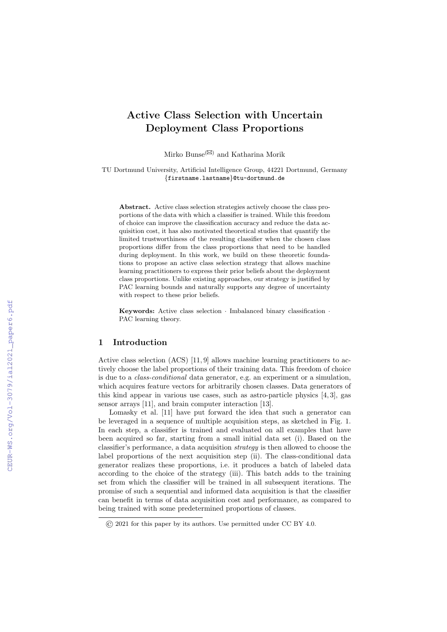# Active Class Selection with Uncertain Deployment Class Proportions

Mirko Bunse<sup>( $\boxtimes$ )</sup> and Katharina Morik

TU Dortmund University, Artificial Intelligence Group, 44221 Dortmund, Germany {firstname.lastname}@tu-dortmund.de

Abstract. Active class selection strategies actively choose the class proportions of the data with which a classifier is trained. While this freedom of choice can improve the classification accuracy and reduce the data acquisition cost, it has also motivated theoretical studies that quantify the limited trustworthiness of the resulting classifier when the chosen class proportions differ from the class proportions that need to be handled during deployment. In this work, we build on these theoretic foundations to propose an active class selection strategy that allows machine learning practitioners to express their prior beliefs about the deployment class proportions. Unlike existing approaches, our strategy is justified by PAC learning bounds and naturally supports any degree of uncertainty with respect to these prior beliefs.

Keywords: Active class selection · Imbalanced binary classification · PAC learning theory.

### 1 Introduction

Active class selection (ACS) [11, 9] allows machine learning practitioners to actively choose the label proportions of their training data. This freedom of choice is due to a class-conditional data generator, e.g. an experiment or a simulation, which acquires feature vectors for arbitrarily chosen classes. Data generators of this kind appear in various use cases, such as astro-particle physics  $[4, 3]$ , gas sensor arrays [11], and brain computer interaction [13].

Lomasky et al. [11] have put forward the idea that such a generator can be leveraged in a sequence of multiple acquisition steps, as sketched in Fig. 1. In each step, a classifier is trained and evaluated on all examples that have been acquired so far, starting from a small initial data set (i). Based on the classifier's performance, a data acquisition strategy is then allowed to choose the label proportions of the next acquisition step (ii). The class-conditional data generator realizes these proportions, i.e. it produces a batch of labeled data according to the choice of the strategy (iii). This batch adds to the training set from which the classifier will be trained in all subsequent iterations. The promise of such a sequential and informed data acquisition is that the classifier can benefit in terms of data acquisition cost and performance, as compared to being trained with some predetermined proportions of classes.

<sup>©</sup> 2021 for this paper by its authors. Use permitted under CC BY 4.0.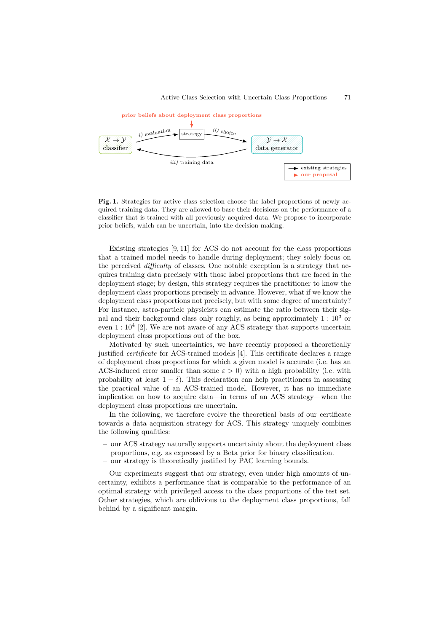

Fig. 1. Strategies for active class selection choose the label proportions of newly acquired training data. They are allowed to base their decisions on the performance of a classifier that is trained with all previously acquired data. We propose to incorporate prior beliefs, which can be uncertain, into the decision making.

Existing strategies [9, 11] for ACS do not account for the class proportions that a trained model needs to handle during deployment; they solely focus on the perceived difficulty of classes. One notable exception is a strategy that acquires training data precisely with those label proportions that are faced in the deployment stage; by design, this strategy requires the practitioner to know the deployment class proportions precisely in advance. However, what if we know the deployment class proportions not precisely, but with some degree of uncertainty? For instance, astro-particle physicists can estimate the ratio between their signal and their background class only roughly, as being approximately  $1:10<sup>3</sup>$  or even  $1:10^4$  [2]. We are not aware of any ACS strategy that supports uncertain deployment class proportions out of the box.

Motivated by such uncertainties, we have recently proposed a theoretically justified certificate for ACS-trained models [4]. This certificate declares a range of deployment class proportions for which a given model is accurate (i.e. has an ACS-induced error smaller than some  $\varepsilon > 0$ ) with a high probability (i.e. with probability at least  $1 - \delta$ ). This declaration can help practitioners in assessing the practical value of an ACS-trained model. However, it has no immediate implication on how to acquire data—in terms of an ACS strategy—when the deployment class proportions are uncertain.

In the following, we therefore evolve the theoretical basis of our certificate towards a data acquisition strategy for ACS. This strategy uniquely combines the following qualities:

- our ACS strategy naturally supports uncertainty about the deployment class proportions, e.g. as expressed by a Beta prior for binary classification.
- our strategy is theoretically justified by PAC learning bounds.

Our experiments suggest that our strategy, even under high amounts of uncertainty, exhibits a performance that is comparable to the performance of an optimal strategy with privileged access to the class proportions of the test set. Other strategies, which are oblivious to the deployment class proportions, fall behind by a significant margin.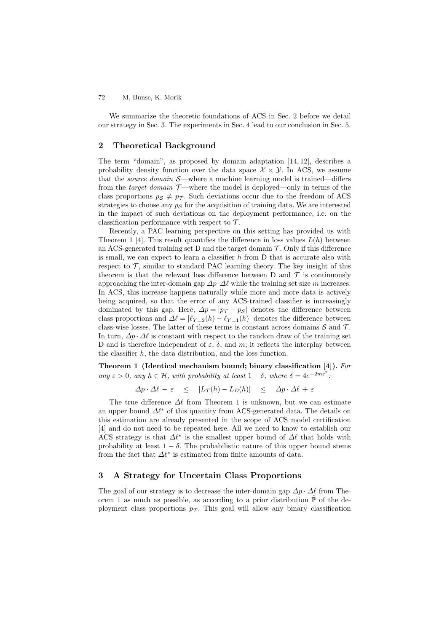We summarize the theoretic foundations of ACS in Sec. 2 before we detail our strategy in Sec. 3. The experiments in Sec. 4 lead to our conclusion in Sec. 5.

# 2 Theoretical Background

The term "domain", as proposed by domain adaptation [14, 12], describes a probability density function over the data space  $\mathcal{X} \times \mathcal{Y}$ . In ACS, we assume that the *source domain*  $S$ —where a machine learning model is trained—differs from the *target domain*  $\mathcal{T}$ —where the model is deployed—only in terms of the class proportions  $p_S \neq p_T$ . Such deviations occur due to the freedom of ACS strategies to choose any  $p<sub>S</sub>$  for the acquisition of training data. We are interested in the impact of such deviations on the deployment performance, i.e. on the classification performance with respect to  $\mathcal{T}$ .

Recently, a PAC learning perspective on this setting has provided us with Theorem 1 [4]. This result quantifies the difference in loss values  $L(h)$  between an ACS-generated training set D and the target domain  $\mathcal{T}$ . Only if this difference is small, we can expect to learn a classifier  $h$  from  $D$  that is accurate also with respect to  $\mathcal{T}$ , similar to standard PAC learning theory. The key insight of this theorem is that the relevant loss difference between D and  $\mathcal T$  is continuously approaching the inter-domain gap  $\Delta p \cdot \Delta \ell$  while the training set size m increases. In ACS, this increase happens naturally while more and more data is actively being acquired, so that the error of any ACS-trained classifier is increasingly dominated by this gap. Here,  $\Delta p = |p_{\tau} - p_{\mathcal{S}}|$  denotes the difference between class proportions and  $\Delta \ell = |\ell_{Y=2}(h) - \ell_{Y=1}(h)|$  denotes the difference between class-wise losses. The latter of these terms is constant across domains  $S$  and  $T$ . In turn,  $\Delta p \cdot \Delta \ell$  is constant with respect to the random draw of the training set D and is therefore independent of  $\varepsilon$ ,  $\delta$ , and m; it reflects the interplay between the classifier h, the data distribution, and the loss function.

Theorem 1 (Identical mechanism bound; binary classification [4]). For any  $\varepsilon > 0$ , any  $h \in \mathcal{H}$ , with probability at least  $1 - \delta$ , where  $\delta = 4e^{-2m\varepsilon^2}$ .

$$
\Delta p \cdot \Delta \ell - \varepsilon \leq |L_{\mathcal{T}}(h) - L_D(h)| \leq \Delta p \cdot \Delta \ell + \varepsilon
$$

The true difference  $\Delta\ell$  from Theorem 1 is unknown, but we can estimate an upper bound  $\Delta \ell^*$  of this quantity from ACS-generated data. The details on this estimation are already presented in the scope of ACS model certification [4] and do not need to be repeated here. All we need to know to establish our ACS strategy is that  $\Delta \ell^*$  is the smallest upper bound of  $\Delta \ell$  that holds with probability at least  $1 - \delta$ . The probabilistic nature of this upper bound stems from the fact that  $\Delta \ell^*$  is estimated from finite amounts of data.

# 3 A Strategy for Uncertain Class Proportions

The goal of our strategy is to decrease the inter-domain gap  $\Delta p \cdot \Delta \ell$  from Theorem 1 as much as possible, as according to a prior distribution  $\hat{P}$  of the deployment class proportions  $p_{\mathcal{T}}$ . This goal will allow any binary classification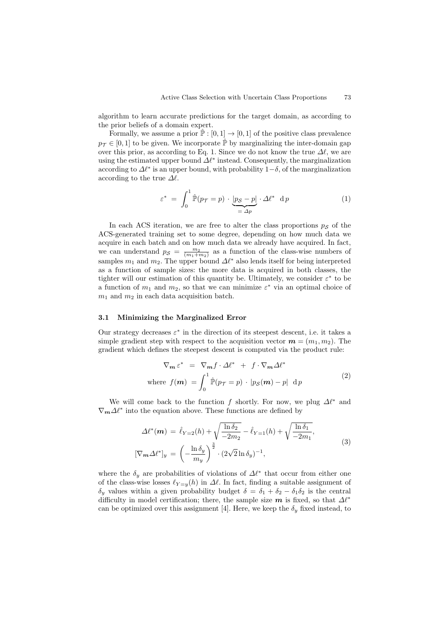algorithm to learn accurate predictions for the target domain, as according to the prior beliefs of a domain expert.

Formally, we assume a prior  $\hat{P} : [0, 1] \to [0, 1]$  of the positive class prevalence  $p_{\mathcal{T}} \in [0, 1]$  to be given. We incorporate  $\hat{\mathbb{P}}$  by marginalizing the inter-domain gap over this prior, as according to Eq. 1. Since we do not know the true  $\Delta\ell$ , we are using the estimated upper bound  $\Delta \ell^*$  instead. Consequently, the marginalization according to  $\Delta \ell^*$  is an upper bound, with probability  $1-\delta$ , of the marginalization according to the true  $\Delta \ell$ .

$$
\varepsilon^* = \int_0^1 \hat{\mathbb{P}}(p_{\mathcal{T}} = p) \cdot \underbrace{|p_{\mathcal{S}} - p|}_{= \Delta p} \cdot \Delta \ell^* \, \mathrm{d} p \tag{1}
$$

In each ACS iteration, we are free to alter the class proportions  $p<sub>S</sub>$  of the ACS-generated training set to some degree, depending on how much data we acquire in each batch and on how much data we already have acquired. In fact, we can understand  $p_{\mathcal{S}} = \frac{m_2}{(m_1+m_2)}$  as a function of the class-wise numbers of samples  $m_1$  and  $m_2$ . The upper bound  $\Delta \ell^*$  also lends itself for being interpreted as a function of sample sizes: the more data is acquired in both classes, the tighter will our estimation of this quantity be. Ultimately, we consider  $\varepsilon^*$  to be a function of  $m_1$  and  $m_2$ , so that we can minimize  $\varepsilon^*$  via an optimal choice of  $m_1$  and  $m_2$  in each data acquisition batch.

### 3.1 Minimizing the Marginalized Error

Our strategy decreases  $\varepsilon^*$  in the direction of its steepest descent, i.e. it takes a simple gradient step with respect to the acquisition vector  $\mathbf{m} = (m_1, m_2)$ . The gradient which defines the steepest descent is computed via the product rule:

$$
\nabla_{\mathbf{m}} \varepsilon^* = \nabla_{\mathbf{m}} f \cdot \Delta \ell^* + f \cdot \nabla_{\mathbf{m}} \Delta \ell^*
$$
  
where  $f(\mathbf{m}) = \int_0^1 \hat{\mathbb{P}}(p_{\mathcal{T}} = p) \cdot |p_{\mathcal{S}}(\mathbf{m}) - p| \, \mathrm{d} p$  (2)

We will come back to the function f shortly. For now, we plug  $\Delta \ell^*$  and  $\nabla_{\mathbf{m}} \Delta \ell^*$  into the equation above. These functions are defined by

$$
\Delta \ell^*(\boldsymbol{m}) = \hat{\ell}_{Y=2}(h) + \sqrt{\frac{\ln \delta_2}{-2m_2}} - \hat{\ell}_{Y=1}(h) + \sqrt{\frac{\ln \delta_1}{-2m_1}},
$$
  

$$
[\nabla_{\boldsymbol{m}} \Delta \ell^*]_y = \left(-\frac{\ln \delta_y}{m_y}\right)^{\frac{3}{2}} \cdot (2\sqrt{2} \ln \delta_y)^{-1},
$$
 (3)

where the  $\delta_y$  are probabilities of violations of  $\Delta \ell^*$  that occur from either one of the class-wise losses  $\ell_{Y=y}(h)$  in  $\Delta \ell$ . In fact, finding a suitable assignment of  $\delta_y$  values within a given probability budget  $\delta = \delta_1 + \delta_2 - \delta_1 \delta_2$  is the central difficulty in model certification; there, the sample size m is fixed, so that  $\Delta\ell^*$ can be optimized over this assignment [4]. Here, we keep the  $\delta_{\nu}$  fixed instead, to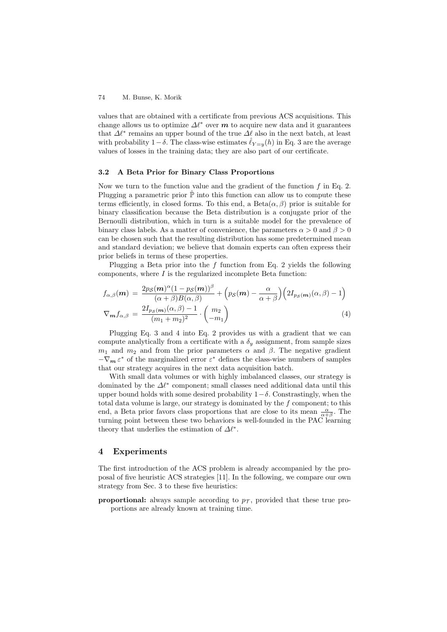values that are obtained with a certificate from previous ACS acquisitions. This change allows us to optimize  $\Delta \ell^*$  over m to acquire new data and it guarantees that  $\Delta \ell^*$  remains an upper bound of the true  $\Delta \ell$  also in the next batch, at least with probability 1– $\delta$ . The class-wise estimates  $\hat{\ell}_{Y=y}(h)$  in Eq. 3 are the average values of losses in the training data; they are also part of our certificate.

### 3.2 A Beta Prior for Binary Class Proportions

Now we turn to the function value and the gradient of the function  $f$  in Eq. 2. Plugging a parametric prior  $\hat{P}$  into this function can allow us to compute these terms efficiently, in closed forms. To this end, a  $Beta(\alpha, \beta)$  prior is suitable for binary classification because the Beta distribution is a conjugate prior of the Bernoulli distribution, which in turn is a suitable model for the prevalence of binary class labels. As a matter of convenience, the parameters  $\alpha > 0$  and  $\beta > 0$ can be chosen such that the resulting distribution has some predetermined mean and standard deviation; we believe that domain experts can often express their prior beliefs in terms of these properties.

Plugging a Beta prior into the f function from Eq. 2 yields the following components, where  $I$  is the regularized incomplete Beta function:

$$
f_{\alpha,\beta}(m) = \frac{2p_S(m)^{\alpha}(1 - p_S(m))^{\beta}}{(\alpha + \beta)B(\alpha, \beta)} + \left(p_S(m) - \frac{\alpha}{\alpha + \beta}\right) \left(2I_{p_S(m)}(\alpha, \beta) - 1\right)
$$
  

$$
\nabla_m f_{\alpha,\beta} = \frac{2I_{p_S(m)}(\alpha, \beta) - 1}{(m_1 + m_2)^2} \cdot \binom{m_2}{-m_1} \tag{4}
$$

Plugging Eq. 3 and 4 into Eq. 2 provides us with a gradient that we can compute analytically from a certificate with a  $\delta_y$  assignment, from sample sizes  $m_1$  and  $m_2$  and from the prior parameters  $\alpha$  and  $\beta$ . The negative gradient  $-\nabla_m \varepsilon^*$  of the marginalized error  $\varepsilon^*$  defines the class-wise numbers of samples that our strategy acquires in the next data acquisition batch.

With small data volumes or with highly imbalanced classes, our strategy is dominated by the  $\Delta \ell^*$  component; small classes need additional data until this upper bound holds with some desired probability  $1-\delta$ . Constrastingly, when the total data volume is large, our strategy is dominated by the  $f$  component; to this end, a Beta prior favors class proportions that are close to its mean  $\frac{\alpha}{\alpha+\beta}$ . The turning point between these two behaviors is well-founded in the PAC learning theory that underlies the estimation of  $\Delta \ell^*$ .

# 4 Experiments

The first introduction of the ACS problem is already accompanied by the proposal of five heuristic ACS strategies [11]. In the following, we compare our own strategy from Sec. 3 to these five heuristics:

proportional: always sample according to  $p_{\tau}$ , provided that these true proportions are already known at training time.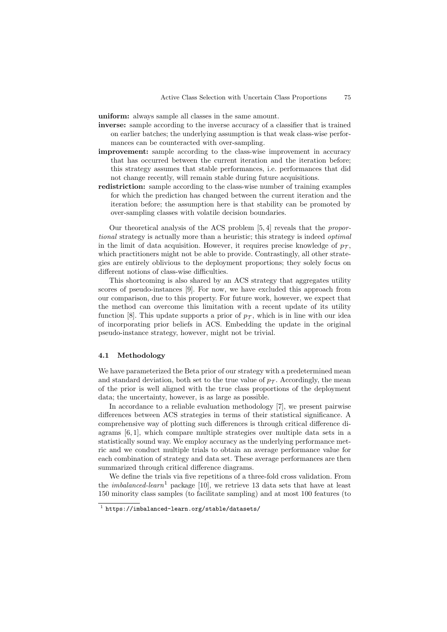uniform: always sample all classes in the same amount.

- inverse: sample according to the inverse accuracy of a classifier that is trained on earlier batches; the underlying assumption is that weak class-wise performances can be counteracted with over-sampling.
- improvement: sample according to the class-wise improvement in accuracy that has occurred between the current iteration and the iteration before; this strategy assumes that stable performances, i.e. performances that did not change recently, will remain stable during future acquisitions.
- redistriction: sample according to the class-wise number of training examples for which the prediction has changed between the current iteration and the iteration before; the assumption here is that stability can be promoted by over-sampling classes with volatile decision boundaries.

Our theoretical analysis of the ACS problem [5, 4] reveals that the proportional strategy is actually more than a heuristic; this strategy is indeed *optimal* in the limit of data acquisition. However, it requires precise knowledge of  $p_{\tau}$ , which practitioners might not be able to provide. Contrastingly, all other strategies are entirely oblivious to the deployment proportions; they solely focus on different notions of class-wise difficulties.

This shortcoming is also shared by an ACS strategy that aggregates utility scores of pseudo-instances [9]. For now, we have excluded this approach from our comparison, due to this property. For future work, however, we expect that the method can overcome this limitation with a recent update of its utility function [8]. This update supports a prior of  $p_{\tau}$ , which is in line with our idea of incorporating prior beliefs in ACS. Embedding the update in the original pseudo-instance strategy, however, might not be trivial.

### 4.1 Methodology

We have parameterized the Beta prior of our strategy with a predetermined mean and standard deviation, both set to the true value of  $p_{\mathcal{T}}$ . Accordingly, the mean of the prior is well aligned with the true class proportions of the deployment data; the uncertainty, however, is as large as possible.

In accordance to a reliable evaluation methodology [7], we present pairwise differences between ACS strategies in terms of their statistical significance. A comprehensive way of plotting such differences is through critical difference diagrams [6, 1], which compare multiple strategies over multiple data sets in a statistically sound way. We employ accuracy as the underlying performance metric and we conduct multiple trials to obtain an average performance value for each combination of strategy and data set. These average performances are then summarized through critical difference diagrams.

We define the trials via five repetitions of a three-fold cross validation. From the *imbalanced-learn*<sup>1</sup> package [10], we retrieve 13 data sets that have at least 150 minority class samples (to facilitate sampling) and at most 100 features (to

<sup>1</sup> https://imbalanced-learn.org/stable/datasets/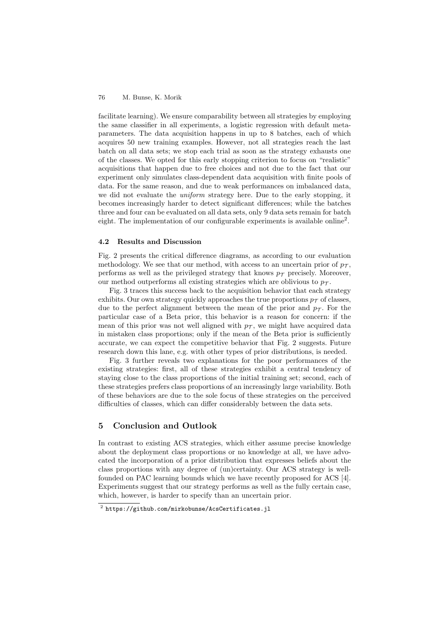facilitate learning). We ensure comparability between all strategies by employing the same classifier in all experiments, a logistic regression with default metaparameters. The data acquisition happens in up to 8 batches, each of which acquires 50 new training examples. However, not all strategies reach the last batch on all data sets; we stop each trial as soon as the strategy exhausts one of the classes. We opted for this early stopping criterion to focus on "realistic" acquisitions that happen due to free choices and not due to the fact that our experiment only simulates class-dependent data acquisition with finite pools of data. For the same reason, and due to weak performances on imbalanced data, we did not evaluate the uniform strategy here. Due to the early stopping, it becomes increasingly harder to detect significant differences; while the batches three and four can be evaluated on all data sets, only 9 data sets remain for batch eight. The implementation of our configurable experiments is available online<sup>2</sup> .

### 4.2 Results and Discussion

Fig. 2 presents the critical difference diagrams, as according to our evaluation methodology. We see that our method, with access to an uncertain prior of  $p_{\tau}$ , performs as well as the privileged strategy that knows  $p<sub>T</sub>$  precisely. Moreover, our method outperforms all existing strategies which are oblivious to  $p_{\tau}$ .

Fig. 3 traces this success back to the acquisition behavior that each strategy exhibits. Our own strategy quickly approaches the true proportions  $p_{\mathcal{T}}$  of classes, due to the perfect alignment between the mean of the prior and  $p_{\mathcal{T}}$ . For the particular case of a Beta prior, this behavior is a reason for concern: if the mean of this prior was not well aligned with  $p<sub>T</sub>$ , we might have acquired data in mistaken class proportions; only if the mean of the Beta prior is sufficiently accurate, we can expect the competitive behavior that Fig. 2 suggests. Future research down this lane, e.g. with other types of prior distributions, is needed.

Fig. 3 further reveals two explanations for the poor performances of the existing strategies: first, all of these strategies exhibit a central tendency of staying close to the class proportions of the initial training set; second, each of these strategies prefers class proportions of an increasingly large variability. Both of these behaviors are due to the sole focus of these strategies on the perceived difficulties of classes, which can differ considerably between the data sets.

# 5 Conclusion and Outlook

In contrast to existing ACS strategies, which either assume precise knowledge about the deployment class proportions or no knowledge at all, we have advocated the incorporation of a prior distribution that expresses beliefs about the class proportions with any degree of (un)certainty. Our ACS strategy is wellfounded on PAC learning bounds which we have recently proposed for ACS [4]. Experiments suggest that our strategy performs as well as the fully certain case, which, however, is harder to specify than an uncertain prior.

 $^2$  https://github.com/mirkobunse/AcsCertificates.jl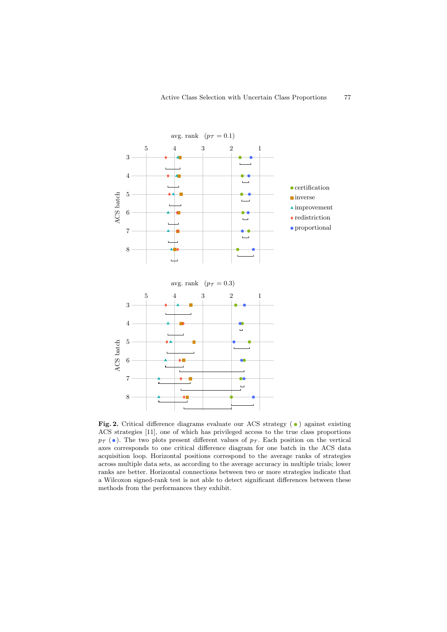

Fig. 2. Critical difference diagrams evaluate our ACS strategy ( $\bullet$ ) against existing ACS strategies [11], one of which has privileged access to the true class proportions  $p_{\mathcal{T}}(\bullet)$ . The two plots present different values of  $p_{\mathcal{T}}$ . Each position on the vertical axes corresponds to one critical difference diagram for one batch in the ACS data acquisition loop. Horizontal positions correspond to the average ranks of strategies across multiple data sets, as according to the average accuracy in multiple trials; lower ranks are better. Horizontal connections between two or more strategies indicate that a Wilcoxon signed-rank test is not able to detect significant differences between these methods from the performances they exhibit.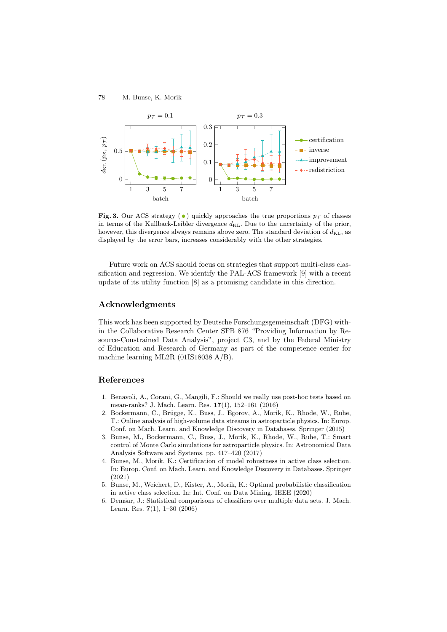

Fig. 3. Our ACS strategy ( $\bullet$ ) quickly approaches the true proportions  $p_{\tau}$  of classes in terms of the Kullback-Leibler divergence  $d_{KL}$ . Due to the uncertainty of the prior, however, this divergence always remains above zero. The standard deviation of  $d_{\text{KL}}$ , as displayed by the error bars, increases considerably with the other strategies.

Future work on ACS should focus on strategies that support multi-class classification and regression. We identify the PAL-ACS framework [9] with a recent update of its utility function [8] as a promising candidate in this direction.

# Acknowledgments

This work has been supported by Deutsche Forschungsgemeinschaft (DFG) within the Collaborative Research Center SFB 876 "Providing Information by Resource-Constrained Data Analysis", project C3, and by the Federal Ministry of Education and Research of Germany as part of the competence center for machine learning ML2R (01IS18038 A/B).

# References

- 1. Benavoli, A., Corani, G., Mangili, F.: Should we really use post-hoc tests based on mean-ranks? J. Mach. Learn. Res. 17(1), 152–161 (2016)
- 2. Bockermann, C., Brügge, K., Buss, J., Egorov, A., Morik, K., Rhode, W., Ruhe, T.: Online analysis of high-volume data streams in astroparticle physics. In: Europ. Conf. on Mach. Learn. and Knowledge Discovery in Databases. Springer (2015)
- 3. Bunse, M., Bockermann, C., Buss, J., Morik, K., Rhode, W., Ruhe, T.: Smart control of Monte Carlo simulations for astroparticle physics. In: Astronomical Data Analysis Software and Systems. pp. 417–420 (2017)
- 4. Bunse, M., Morik, K.: Certification of model robustness in active class selection. In: Europ. Conf. on Mach. Learn. and Knowledge Discovery in Databases. Springer (2021)
- 5. Bunse, M., Weichert, D., Kister, A., Morik, K.: Optimal probabilistic classification in active class selection. In: Int. Conf. on Data Mining. IEEE (2020)
- 6. Demšar, J.: Statistical comparisons of classifiers over multiple data sets. J. Mach. Learn. Res. 7(1), 1–30 (2006)